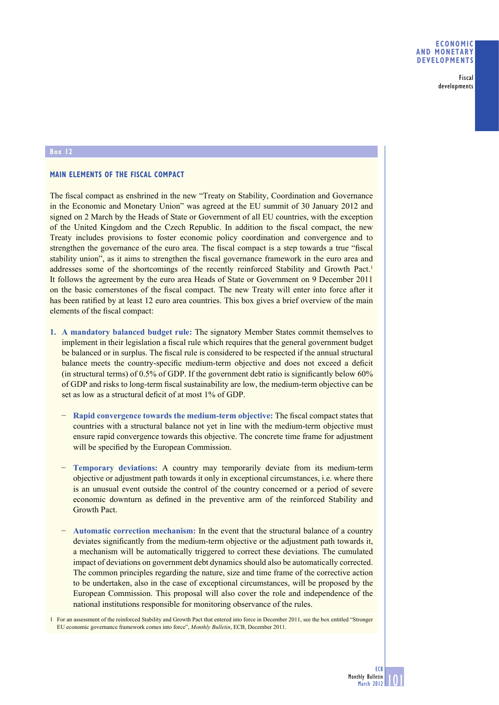Fiscal developments

## **Box 12**

## **MAIN ELEMENTS OF THE FISCAL COMPACT**

The fiscal compact as enshrined in the new "Treaty on Stability, Coordination and Governance in the Economic and Monetary Union" was agreed at the EU summit of 30 January 2012 and signed on 2 March by the Heads of State or Government of all EU countries, with the exception of the United Kingdom and the Czech Republic. In addition to the fiscal compact, the new Treaty includes provisions to foster economic policy coordination and convergence and to strengthen the governance of the euro area. The fiscal compact is a step towards a true "fiscal stability union", as it aims to strengthen the fiscal governance framework in the euro area and addresses some of the shortcomings of the recently reinforced Stability and Growth Pact.<sup>1</sup> It follows the agreement by the euro area Heads of State or Government on 9 December 2011 on the basic cornerstones of the fiscal compact. The new Treaty will enter into force after it has been ratified by at least 12 euro area countries. This box gives a brief overview of the main elements of the fiscal compact:

- **1. A mandatory balanced budget rule:** The signatory Member States commit themselves to implement in their legislation a fiscal rule which requires that the general government budget be balanced or in surplus. The fiscal rule is considered to be respected if the annual structural balance meets the country-specific medium-term objective and does not exceed a deficit (in structural terms) of  $0.5\%$  of GDP. If the government debt ratio is significantly below 60% of GDP and risks to long-term fiscal sustainability are low, the medium-term objective can be set as low as a structural deficit of at most 1% of GDP.
	- − **Rapid convergence towards the medium-term objective:** The fiscal compact states that countries with a structural balance not yet in line with the medium-term objective must ensure rapid convergence towards this objective. The concrete time frame for adjustment will be specified by the European Commission.
	- − **Temporary deviations:** A country may temporarily deviate from its medium-term objective or adjustment path towards it only in exceptional circumstances, i.e. where there is an unusual event outside the control of the country concerned or a period of severe economic downturn as defined in the preventive arm of the reinforced Stability and Growth Pact.
	- − **Automatic correction mechanism:** In the event that the structural balance of a country deviates significantly from the medium-term objective or the adjustment path towards it, a mechanism will be automatically triggered to correct these deviations. The cumulated impact of deviations on government debt dynamics should also be automatically corrected. The common principles regarding the nature, size and time frame of the corrective action to be undertaken, also in the case of exceptional circumstances, will be proposed by the European Commission. This proposal will also cover the role and independence of the national institutions responsible for monitoring observance of the rules.

1 For an assessment of the reinforced Stability and Growth Pact that entered into force in December 2011, see the box entitled "Stronger EU economic governance framework comes into force", *Monthly Bulletin*, ECB, December 2011.